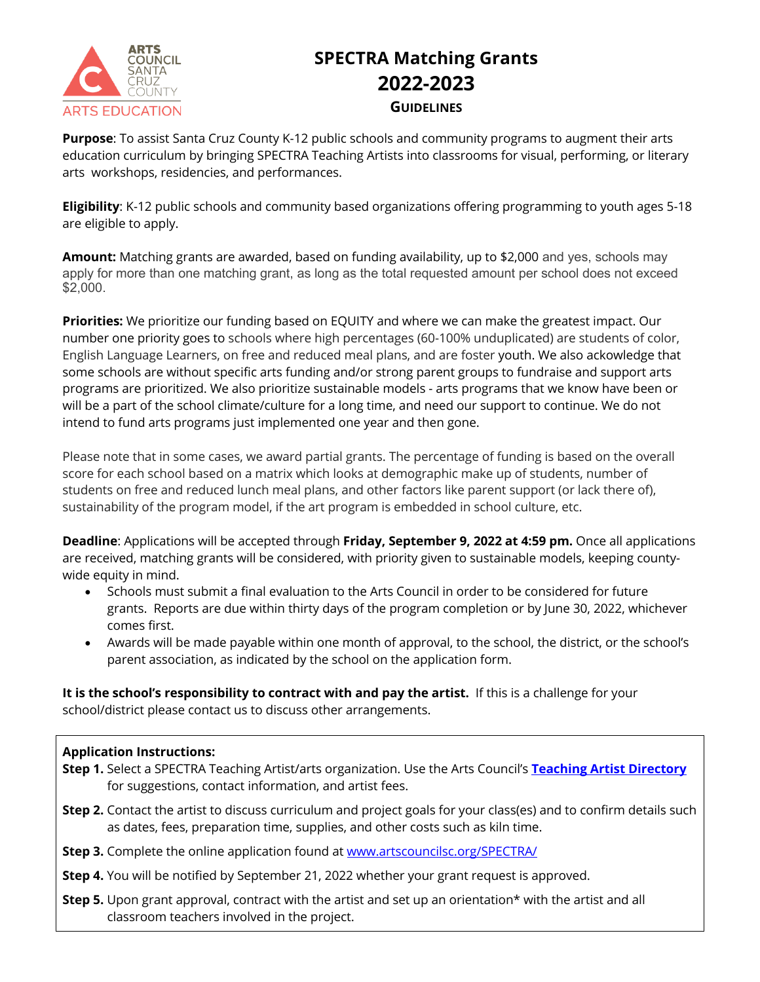

## **SPECTRA Matching Grants 2022-2023 GUIDELINES**

**Purpose**: To assist Santa Cruz County K-12 public schools and community programs to augment their arts education curriculum by bringing SPECTRA Teaching Artists into classrooms for visual, performing, or literary arts workshops, residencies, and performances.

**Eligibility**: K-12 public schools and community based organizations offering programming to youth ages 5-18 are eligible to apply.

**Amount:** Matching grants are awarded, based on funding availability, up to \$2,000 and yes, schools may apply for more than one matching grant, as long as the total requested amount per school does not exceed \$2,000.

**Priorities:** We prioritize our funding based on EQUITY and where we can make the greatest impact. Our number one priority goes to schools where high percentages (60-100% unduplicated) are students of color, English Language Learners, on free and reduced meal plans, and are foster youth. We also ackowledge that some schools are without specific arts funding and/or strong parent groups to fundraise and support arts programs are prioritized. We also prioritize sustainable models - arts programs that we know have been or will be a part of the school climate/culture for a long time, and need our support to continue. We do not intend to fund arts programs just implemented one year and then gone.

Please note that in some cases, we award partial grants. The percentage of funding is based on the overall score for each school based on a matrix which looks at demographic make up of students, number of students on free and reduced lunch meal plans, and other factors like parent support (or lack there of), sustainability of the program model, if the art program is embedded in school culture, etc.

**Deadline**: Applications will be accepted through **Friday, September 9, 2022 at 4:59 pm.** Once all applications are received, matching grants will be considered, with priority given to sustainable models, keeping countywide equity in mind.

- Schools must submit a final evaluation to the Arts Council in order to be considered for future grants. Reports are due within thirty days of the program completion or by June 30, 2022, whichever comes first.
- Awards will be made payable within one month of approval, to the school, the district, or the school's parent association, as indicated by the school on the application form.

**It is the school's responsibility to contract with and pay the artist.** If this is a challenge for your school/district please contact us to discuss other arrangements.

## **Application Instructions:**

- **Step 1.** Select a SPECTRA Teaching Artist/arts organization. Use the Arts Council's **Teaching Artist Directory** for suggestions, contact information, and artist fees.
- **Step 2.** Contact the artist to discuss curriculum and project goals for your class(es) and to confirm details such as dates, fees, preparation time, supplies, and other costs such as kiln time.
- **Step 3.** Complete the online application found at www.artscouncilsc.org/SPECTRA/
- **Step 4.** You will be notified by September 21, 2022 whether your grant request is approved.
- **Step 5.** Upon grant approval, contract with the artist and set up an orientation\* with the artist and all classroom teachers involved in the project.